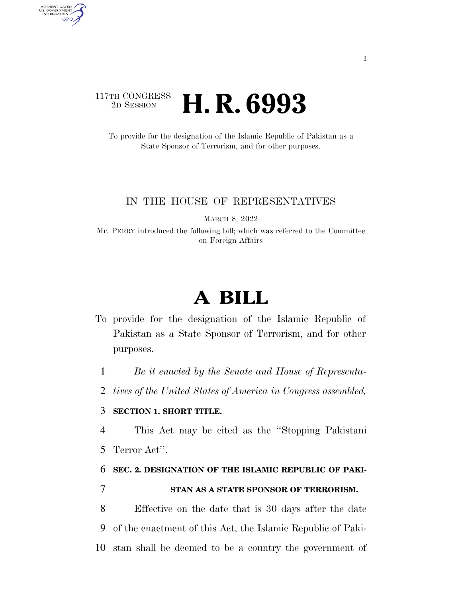### 117TH CONGRESS<br>2D SESSION 2D SESSION **H. R. 6993**

AUTHENTICATED<br>U.S. GOVERNMENT<br>INFORMATION **GPO** 

> To provide for the designation of the Islamic Republic of Pakistan as a State Sponsor of Terrorism, and for other purposes.

#### IN THE HOUSE OF REPRESENTATIVES

MARCH 8, 2022

Mr. PERRY introduced the following bill; which was referred to the Committee on Foreign Affairs

# **A BILL**

To provide for the designation of the Islamic Republic of Pakistan as a State Sponsor of Terrorism, and for other purposes.

1 *Be it enacted by the Senate and House of Representa-*

2 *tives of the United States of America in Congress assembled,* 

### 3 **SECTION 1. SHORT TITLE.**

4 This Act may be cited as the ''Stopping Pakistani 5 Terror Act''.

## 6 **SEC. 2. DESIGNATION OF THE ISLAMIC REPUBLIC OF PAKI-**7 **STAN AS A STATE SPONSOR OF TERRORISM.**

8 Effective on the date that is 30 days after the date 9 of the enactment of this Act, the Islamic Republic of Paki-10 stan shall be deemed to be a country the government of